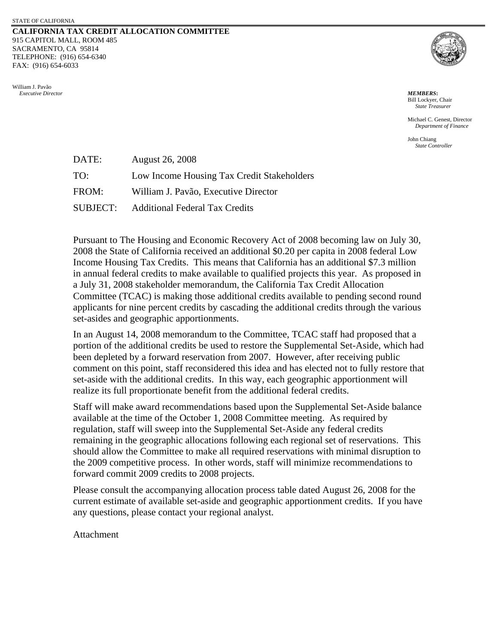## **CALIFORNIA TAX CREDIT ALLOCATION COMMITTEE**  915 CAPITOL MALL, ROOM 485 SACRAMENTO, CA 95814 TELEPHONE: (916) 654-6340 FAX: (916) 654-6033





Bill Lockyer, Chair *State Treasurer* 

 Michael C. Genest, Director *Department of Finance* 

John Chiang *State Controller* 

| DATE:           | <b>August 26, 2008</b>                     |
|-----------------|--------------------------------------------|
| TO:             | Low Income Housing Tax Credit Stakeholders |
| FROM:           | William J. Pavão, Executive Director       |
| <b>SUBJECT:</b> | <b>Additional Federal Tax Credits</b>      |

Pursuant to The Housing and Economic Recovery Act of 2008 becoming law on July 30, 2008 the State of California received an additional \$0.20 per capita in 2008 federal Low Income Housing Tax Credits. This means that California has an additional \$7.3 million in annual federal credits to make available to qualified projects this year. As proposed in a July 31, 2008 stakeholder memorandum, the California Tax Credit Allocation Committee (TCAC) is making those additional credits available to pending second round applicants for nine percent credits by cascading the additional credits through the various set-asides and geographic apportionments.

In an August 14, 2008 memorandum to the Committee, TCAC staff had proposed that a portion of the additional credits be used to restore the Supplemental Set-Aside, which had been depleted by a forward reservation from 2007. However, after receiving public comment on this point, staff reconsidered this idea and has elected not to fully restore that set-aside with the additional credits. In this way, each geographic apportionment will realize its full proportionate benefit from the additional federal credits.

Staff will make award recommendations based upon the Supplemental Set-Aside balance available at the time of the October 1, 2008 Committee meeting. As required by regulation, staff will sweep into the Supplemental Set-Aside any federal credits remaining in the geographic allocations following each regional set of reservations. This should allow the Committee to make all required reservations with minimal disruption to the 2009 competitive process. In other words, staff will minimize recommendations to forward commit 2009 credits to 2008 projects.

Please consult the accompanying allocation process table dated August 26, 2008 for the current estimate of available set-aside and geographic apportionment credits. If you have any questions, please contact your regional analyst.

Attachment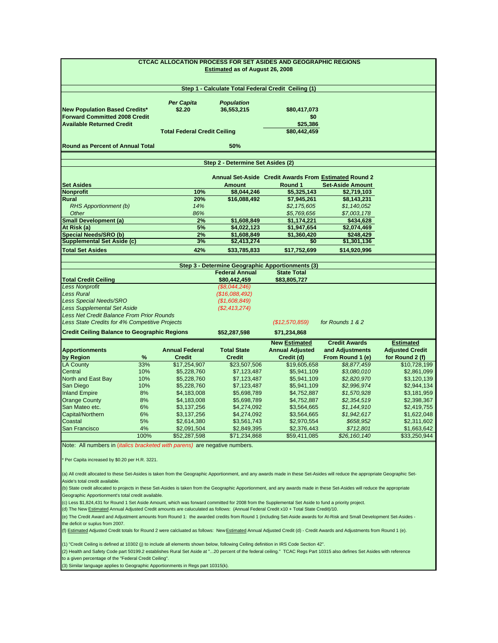| <b>CTCAC ALLOCATION PROCESS FOR SET ASIDES AND GEOGRAPHIC REGIONS</b><br>Estimated as of August 26, 2008                                                                                                        |            |                                     |                                                                           |                                                       |                                         |                                            |  |  |  |
|-----------------------------------------------------------------------------------------------------------------------------------------------------------------------------------------------------------------|------------|-------------------------------------|---------------------------------------------------------------------------|-------------------------------------------------------|-----------------------------------------|--------------------------------------------|--|--|--|
|                                                                                                                                                                                                                 |            |                                     | Step 1 - Calculate Total Federal Credit Ceiling (1)                       |                                                       |                                         |                                            |  |  |  |
| <b>New Population Based Credits*</b><br><b>Forward Committed 2008 Credit</b>                                                                                                                                    |            | <b>Per Capita</b><br>\$2.20         | <b>Population</b><br>36,553,215                                           | \$80,417,073<br>\$0                                   |                                         |                                            |  |  |  |
| <b>Available Returned Credit</b>                                                                                                                                                                                |            |                                     |                                                                           | \$25,386                                              |                                         |                                            |  |  |  |
|                                                                                                                                                                                                                 |            | <b>Total Federal Credit Ceiling</b> |                                                                           | \$80,442,459                                          |                                         |                                            |  |  |  |
| <b>Round as Percent of Annual Total</b>                                                                                                                                                                         |            |                                     | 50%                                                                       |                                                       |                                         |                                            |  |  |  |
|                                                                                                                                                                                                                 |            |                                     | Step 2 - Determine Set Asides (2)                                         |                                                       |                                         |                                            |  |  |  |
|                                                                                                                                                                                                                 |            |                                     |                                                                           | Annual Set-Aside Credit Awards From Estimated Round 2 |                                         |                                            |  |  |  |
| <b>Set Asides</b>                                                                                                                                                                                               |            |                                     | <b>Amount</b>                                                             | Round 1                                               | <b>Set-Aside Amount</b>                 |                                            |  |  |  |
| <b>Nonprofit</b>                                                                                                                                                                                                |            | 10%                                 | \$8,044,246                                                               | \$5,325,143                                           | \$2,719,103                             |                                            |  |  |  |
| <b>Rural</b>                                                                                                                                                                                                    |            | 20%                                 | \$16,088,492                                                              | \$7,945,261                                           | \$8,143,231                             |                                            |  |  |  |
| RHS Apportionment (b)                                                                                                                                                                                           |            | 14%                                 |                                                                           | \$2,175,605                                           | \$1,140,052                             |                                            |  |  |  |
| Other                                                                                                                                                                                                           |            | 86%                                 |                                                                           | \$5,769,656                                           | \$7,003,178                             |                                            |  |  |  |
| <b>Small Development (a)</b>                                                                                                                                                                                    |            | 2%                                  | \$1,608,849                                                               | \$1,174,221                                           | \$434,628                               |                                            |  |  |  |
| At Risk (a)                                                                                                                                                                                                     |            | 5%                                  | \$4,022,123                                                               | \$1,947,654                                           | \$2,074,469                             |                                            |  |  |  |
| <b>Special Needs/SRO (b)</b><br><b>Supplemental Set Aside (c)</b>                                                                                                                                               |            | 2%                                  | \$1,608,849                                                               | \$1,360,420                                           | \$248,429                               |                                            |  |  |  |
| <b>Total Set Asides</b>                                                                                                                                                                                         |            | 3%<br>42%                           | \$2,413,274<br>\$33,785,833                                               | \$0<br>\$17,752,699                                   | \$1,301,136<br>\$14,920,996             |                                            |  |  |  |
|                                                                                                                                                                                                                 |            |                                     |                                                                           |                                                       |                                         |                                            |  |  |  |
|                                                                                                                                                                                                                 |            |                                     | Step 3 - Determine Geographic Apportionments (3)<br><b>Federal Annual</b> | <b>State Total</b>                                    |                                         |                                            |  |  |  |
| <b>Total Credit Ceiling</b>                                                                                                                                                                                     |            |                                     | \$80,442,459                                                              | \$83,805,727                                          |                                         |                                            |  |  |  |
| <b>Less Nonprofit</b>                                                                                                                                                                                           |            |                                     | (\$8,044,246)                                                             |                                                       |                                         |                                            |  |  |  |
| <b>Less Rural</b>                                                                                                                                                                                               |            |                                     | (\$16,088,492)                                                            |                                                       |                                         |                                            |  |  |  |
| <b>Less Special Needs/SRO</b>                                                                                                                                                                                   |            |                                     | (\$1,608,849)                                                             |                                                       |                                         |                                            |  |  |  |
| <b>Less Supplemental Set Aside</b>                                                                                                                                                                              |            |                                     | (\$2,413,274)                                                             |                                                       |                                         |                                            |  |  |  |
| <b>Less Net Credit Balance From Prior Rounds</b>                                                                                                                                                                |            |                                     |                                                                           |                                                       |                                         |                                            |  |  |  |
| Less State Credits for 4% Competitive Projects                                                                                                                                                                  |            |                                     |                                                                           | (\$12,570,859)                                        | for Rounds 1 & 2                        |                                            |  |  |  |
| <b>Credit Ceiling Balance to Geographic Regions</b>                                                                                                                                                             |            |                                     | \$52,287,598                                                              | \$71,234,868                                          |                                         |                                            |  |  |  |
| <b>Apportionments</b>                                                                                                                                                                                           |            | <b>Annual Federal</b>               | <b>Total State</b>                                                        | <b>New Estimated</b><br><b>Annual Adjusted</b>        | <b>Credit Awards</b><br>and Adjustments | <b>Estimated</b><br><b>Adjusted Credit</b> |  |  |  |
| by Region                                                                                                                                                                                                       | %          | <b>Credit</b>                       | <b>Credit</b>                                                             | Credit (d)                                            | From Round 1 (e)                        | for Round 2 (f)                            |  |  |  |
| <b>LA County</b>                                                                                                                                                                                                | 33%        | \$17,254,907                        | \$23,507,506                                                              | \$19,605,658                                          | \$8,877,459                             | \$10,728,199                               |  |  |  |
| Central                                                                                                                                                                                                         | 10%        | \$5,228,760                         | \$7,123,487                                                               | \$5,941,109                                           | \$3,080,010                             | \$2,861,099                                |  |  |  |
| North and East Bay                                                                                                                                                                                              | 10%        | \$5,228,760                         | \$7,123,487                                                               | \$5,941,109                                           | \$2,820,970                             | \$3,120,139                                |  |  |  |
| San Diego                                                                                                                                                                                                       | 10%        | \$5,228,760                         | \$7,123,487                                                               | \$5,941,109                                           | \$2,996,974                             | \$2,944,134                                |  |  |  |
| <b>Inland Empire</b>                                                                                                                                                                                            | 8%         | \$4,183,008                         | \$5,698,789                                                               | \$4,752,887                                           | \$1,570,928                             | \$3,181,959                                |  |  |  |
| <b>Orange County</b>                                                                                                                                                                                            | 8%         | \$4,183,008                         | \$5,698,789                                                               | \$4,752,887                                           | \$2,354,519                             | \$2,398,367                                |  |  |  |
| San Mateo etc.                                                                                                                                                                                                  | 6%         | \$3,137,256                         | \$4,274,092                                                               | \$3,564,665                                           | \$1,144,910                             | \$2,419,755                                |  |  |  |
| Capital/Northern                                                                                                                                                                                                | 6%         | \$3,137,256                         | \$4,274,092                                                               | \$3,564,665                                           | \$1,942,617                             | \$1,622,048                                |  |  |  |
| Coastal                                                                                                                                                                                                         | 5%         | \$2,614,380                         | \$3,561,743                                                               | \$2,970,554                                           | \$658,952                               | \$2,311,602                                |  |  |  |
| San Francisco                                                                                                                                                                                                   | 4%<br>100% | \$2,091,504                         | \$2,849,395                                                               | \$2,376,443<br>\$59,411,085                           | \$712,801                               | \$1,663,642                                |  |  |  |
|                                                                                                                                                                                                                 |            | \$52,287,598                        | \$71,234,868                                                              |                                                       | \$26,160,140                            | \$33,250,944                               |  |  |  |
| Note: All numbers in <i>(italics bracketed with parens)</i> are negative numbers.<br>Per Capita increased by \$0.20 per H.R. 3221.                                                                              |            |                                     |                                                                           |                                                       |                                         |                                            |  |  |  |
|                                                                                                                                                                                                                 |            |                                     |                                                                           |                                                       |                                         |                                            |  |  |  |
| (a) All credit allocated to these Set-Asides is taken from the Geographic Apportionment, and any awards made in these Set-Asides will reduce the appropriate Geographic Set-<br>Aside's total credit available. |            |                                     |                                                                           |                                                       |                                         |                                            |  |  |  |

(b) State credit allocated to projects in these Set-Asides is taken from the Geographic Apportionment, and any awards made in these Set-Asides will reduce the appropriate Geographic Apportionment's total credit available.

(c) Less \$1,824,431 for Round 1 Set Aside Amount, which was forward committed for 2008 from the Supplemental Set Aside to fund a priority project.

(d) The New Estimated Annual Adjusted Credit amounts are caluculated as follows: (Annual Federal Credit x10 + Total State Credit)/10.

(e) The Credit Award and Adjustment amounts from Round 1: the awarded credits from Round 1 (including Set-Aside awards for At-Risk and Small Development Set-Asides the deficit or suplus from 2007.

(f) Estimated Adjusted Credit totals for Round 2 were calcluated as follows: New Estimated Annual Adjusted Credit (d) - Credit Awards and Adjustments from Round 1 (e).

(1) "Credit Ceiling is defined at 10302 (j) to include all elements shown below, following Ceiling definition in IRS Code Section 42".

(2) Health and Safety Code part 50199.2 establishes Rural Set Aside at "...20 percent of the federal ceiling." TCAC Regs Part 10315 also defines Set Asides with reference to a given percentage of the "Federal Credit Ceiling".

(3) Similar language applies to Geographic Apportionments in Regs part 10315(k).